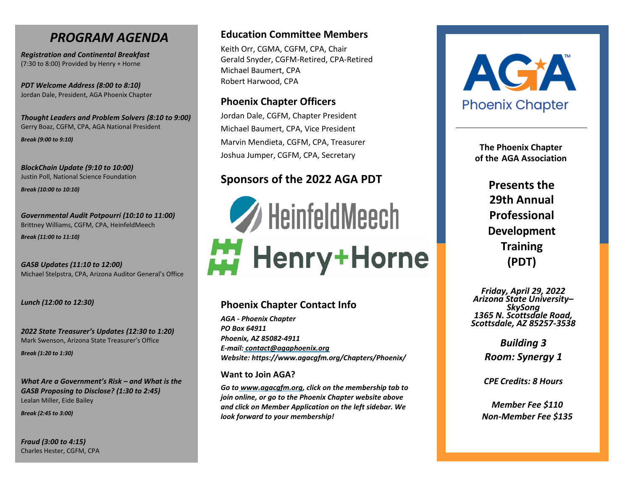# *PROGRAM AGENDA*

*Registration and Continental Breakfast* (7:30 to 8:00) Provided by Henry + Horne

*PDT Welcome Address (8:00 to 8:10)* Jordan Dale, President, AGA Phoenix Chapter

*Thought Leaders and Problem Solvers (8:10 to 9:00)* Gerry Boaz, CGFM, CPA, AGA National President *Break (9:00 to 9:10)*

*BlockChain Update (9:10 to 10:00)* Justin Poll, National Science Foundation

*Break (10:00 to 10:10)*

*Governmental Audit Potpourri (10:10 to 11:00)* Brittney Williams, CGFM, CPA, HeinfeldMeech

*Break (11:00 to 11:10)*

*GASB Updates (11:10 to 12:00)* Michael Stelpstra, CPA, Arizona Auditor General's Office

*Lunch (12:00 to 12:30)*

*2022 State Treasurer's Updates (12:30 to 1:20)* Mark Swenson, Arizona State Treasurer's Office

*Break (1:20 to 1:30)*

*What Are a Government's Risk – and What is the GASB Proposing to Disclose? (1:30 to 2:45)* Lealan Miller, Eide Bailey

*Break (2:45 to 3:00)*

*Fraud (3:00 to 4:15)* Charles Hester, CGFM, CPA

## **Education Committee Members**

Keith Orr, CGMA, CGFM, CPA, Chair Gerald Snyder, CGFM-Retired, CPA-Retired Michael Baumert, CPA Robert Harwood, CPA

## **Phoenix Chapter Officers**

Jordan Dale, CGFM, Chapter President Michael Baumert, CPA, Vice President Marvin Mendieta, CGFM, CPA, Treasurer Joshua Jumper, CGFM, CPA, Secretary

# **Sponsors of the 2022 AGA PDT**

HeinfeldMeech Henry+Horne

## **Phoenix Chapter Contact Info**

*AGA - Phoenix Chapter PO Box 64911 Phoenix, AZ 85082-4911 E-mail: [contact@agaphoenix.org](mailto:contact@agaphoenix.org) Website: https:/[/www.agacgfm.org/Chapters/Phoenix/](http://www.agacgfm.org/Chapters/Phoenix/)*

#### **Want to Join AGA?**

*Go to [www.agacgfm.org, c](http://www.agacgfm.org/)lick on the membership tab to join online, or go to the Phoenix Chapter website above and click on Member Application on the left sidebar. We look forward to your membership!*



**The Phoenix Chapter of the AGA Association**

> **Presents the 29th Annual Professional Development Training (PDT)**

*Friday, April 29, 2022 Arizona State University– SkySong 1365 N. Scottsdale Road, Scottsdale, AZ 85257-3538* 

> *Building 3 Room: Synergy 1*

*CPE Credits: 8 Hours*

*Member Fee \$110 Non-Member Fee \$135*